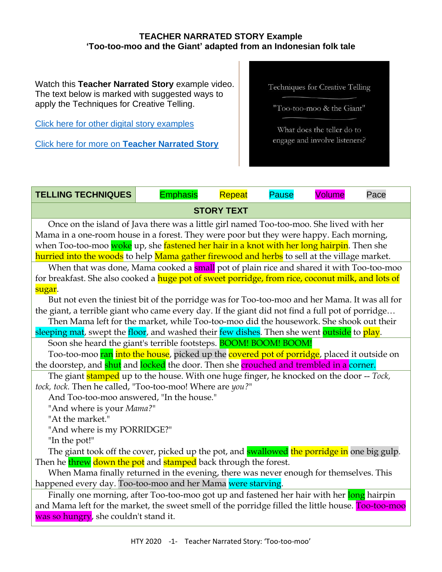## **TEACHER NARRATED STORY Example 'Too-too-moo and the Giant' adapted from an Indonesian folk tale**

Watch this **Teacher Narrated Story** example video. The text below is marked with suggested ways to apply the Techniques for Creative Telling.

[Click here for other digital story examples](https://www.htyweb.org/digital-resources-for-teachers/teacher-narrated-story-drama/)

Click here for more on **[Teacher Narrated Story](https://www.htyweb.org/digital-resources-for-teachers/teacher-narrated-story-drama/)**

Techniques for Creative Telling

"Too-too-moo & the Giant"

What does the teller do to engage and involve listeners?

| <b>TELLING TECHNIQUES</b>                                                                              | <b>Emphasis</b> | Repeat | <b>Pause</b> | <b>Volume</b> | Pace |
|--------------------------------------------------------------------------------------------------------|-----------------|--------|--------------|---------------|------|
| <b>STORY TEXT</b>                                                                                      |                 |        |              |               |      |
| Once on the island of Java there was a little girl named Too-too-moo. She lived with her               |                 |        |              |               |      |
| Mama in a one-room house in a forest. They were poor but they were happy. Each morning,                |                 |        |              |               |      |
| when Too-too-moo <mark>woke</mark> up, she fastened her hair in a knot with her long hairpin. Then she |                 |        |              |               |      |
| hurried into the woods to help Mama gather firewood and herbs to sell at the village market.           |                 |        |              |               |      |
| When that was done, Mama cooked a <b>small</b> pot of plain rice and shared it with Too-too-moo        |                 |        |              |               |      |
| for breakfast. She also cooked a huge pot of sweet porridge, from rice, coconut milk, and lots of      |                 |        |              |               |      |
| sugar.                                                                                                 |                 |        |              |               |      |
| But not even the tiniest bit of the porridge was for Too-too-moo and her Mama. It was all for          |                 |        |              |               |      |
| the giant, a terrible giant who came every day. If the giant did not find a full pot of porridge       |                 |        |              |               |      |
| Then Mama left for the market, while Too-too-moo did the housework. She shook out their                |                 |        |              |               |      |
| sleeping mat, swept the floor, and washed their few dishes. Then she went outside to play.             |                 |        |              |               |      |
| Soon she heard the giant's terrible footsteps. <b>BOOM! BOOM! BOOM!</b>                                |                 |        |              |               |      |
| Too-too-moo ran into the house, picked up the covered pot of porridge, placed it outside on            |                 |        |              |               |      |
| the doorstep, and shut and locked the door. Then she crouched and trembled in a corner.                |                 |        |              |               |      |
| The giant <b>stamped</b> up to the house. With one huge finger, he knocked on the door -- Tock,        |                 |        |              |               |      |
| tock, tock. Then he called, "Too-too-moo! Where are you?"                                              |                 |        |              |               |      |
| And Too-too-moo answered, "In the house."                                                              |                 |        |              |               |      |
| "And where is your Mama?"                                                                              |                 |        |              |               |      |
| "At the market."                                                                                       |                 |        |              |               |      |
| "And where is my PORRIDGE?"                                                                            |                 |        |              |               |      |
| "In the pot!"                                                                                          |                 |        |              |               |      |
| The giant took off the cover, picked up the pot, and <b>swallowed</b> the porridge in one big gulp.    |                 |        |              |               |      |
| Then he threw down the pot and stamped back through the forest.                                        |                 |        |              |               |      |
| When Mama finally returned in the evening, there was never enough for themselves. This                 |                 |        |              |               |      |
| happened every day. Too-too-moo and her Mama were starving.                                            |                 |        |              |               |      |
| Finally one morning, after Too-too-moo got up and fastened her hair with her long hairpin              |                 |        |              |               |      |
| and Mama left for the market, the sweet smell of the porridge filled the little house. Too-too-moo     |                 |        |              |               |      |
| was so hungry, she couldn't stand it.                                                                  |                 |        |              |               |      |